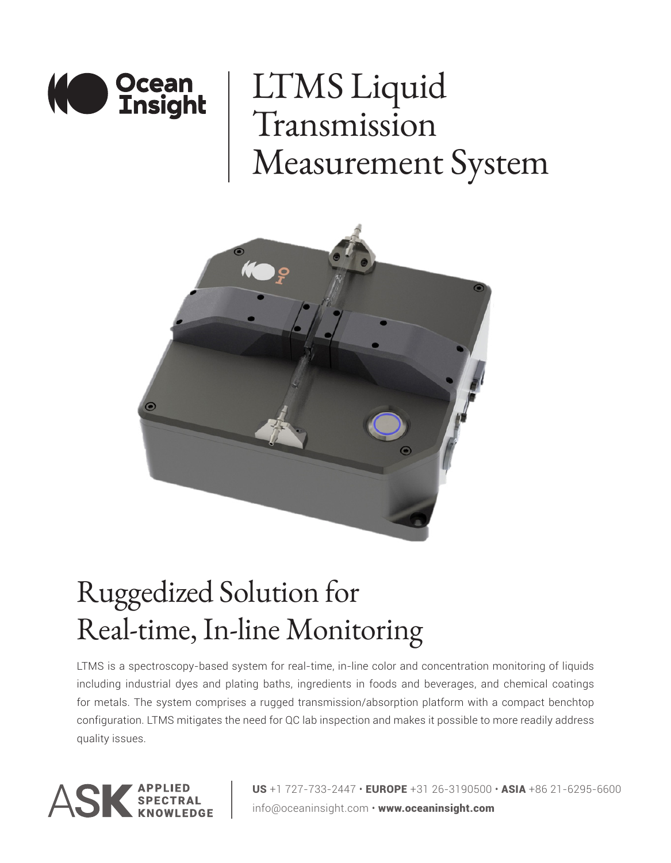

## LTMS Liquid Transmission Measurement System



## Ruggedized Solution for Real-time, In-line Monitoring

LTMS is a spectroscopy-based system for real-time, in-line color and concentration monitoring of liquids including industrial dyes and plating baths, ingredients in foods and beverages, and chemical coatings for metals. The system comprises a rugged transmission/absorption platform with a compact benchtop configuration. LTMS mitigates the need for QC lab inspection and makes it possible to more readily address quality issues.



**US** +1 727-733-2447  $\cdot$  EUROPE +31 26-3190500  $\cdot$  ASIA +86 21-6295-6600 info@oceaninsight.com • www.oceaninsight.com